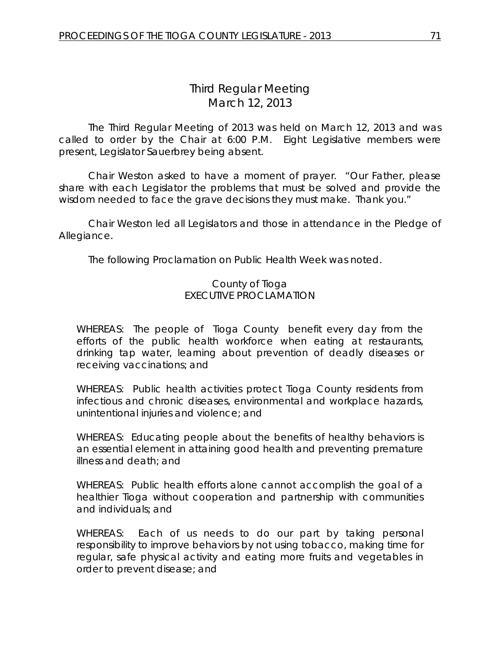# *Third Regular Meeting* March 12, 2013

The Third Regular Meeting of 2013 was held on March 12, 2013 and was called to order by the Chair at 6:00 P.M. Eight Legislative members were present, Legislator Sauerbrey being absent.

Chair Weston asked to have a moment of prayer. "Our Father, please share with each Legislator the problems that must be solved and provide the wisdom needed to face the grave decisions they must make. Thank you."

Chair Weston led all Legislators and those in attendance in the Pledge of Allegiance.

The following Proclamation on Public Health Week was noted.

### County of Tioga EXECUTIVE PROCLAMATION

WHEREAS: The people of Tioga County benefit every day from the efforts of the public health workforce when eating at restaurants, drinking tap water, learning about prevention of deadly diseases or receiving vaccinations; and

WHEREAS: Public health activities protect Tioga County residents from infectious and chronic diseases, environmental and workplace hazards, unintentional injuries and violence; and

WHEREAS: Educating people about the benefits of healthy behaviors is an essential element in attaining good health and preventing premature illness and death; and

WHEREAS: Public health efforts alone cannot accomplish the goal of a healthier Tioga without cooperation and partnership with communities and individuals; and

WHEREAS: Each of us needs to do our part by taking personal responsibility to improve behaviors by not using tobacco, making time for regular, safe physical activity and eating more fruits and vegetables in order to prevent disease; and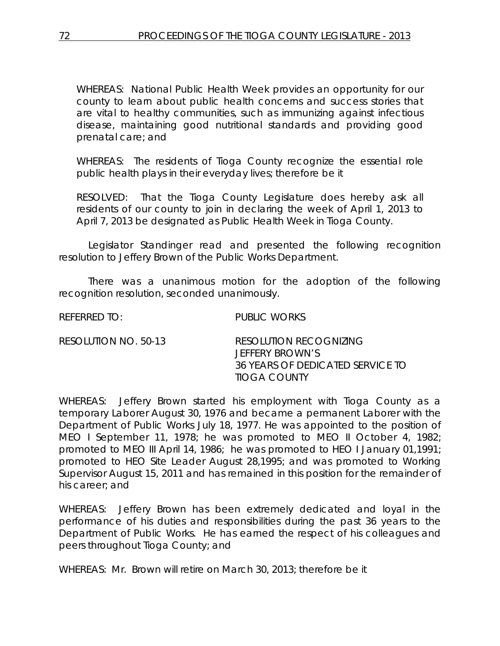WHEREAS: National Public Health Week provides an opportunity for our county to learn about public health concerns and success stories that are vital to healthy communities, such as immunizing against infectious disease, maintaining good nutritional standards and providing good prenatal care; and

WHEREAS: The residents of Tioga County recognize the essential role public health plays in their everyday lives; therefore be it

RESOLVED: That the Tioga County Legislature does hereby ask all residents of our county to join in declaring the week of April 1, 2013 to April 7, 2013 be designated as Public Health Week in Tioga County.

Legislator Standinger read and presented the following recognition resolution to Jeffery Brown of the Public Works Department.

There was a unanimous motion for the adoption of the following recognition resolution, seconded unanimously.

REFERRED TO: PUBLIC WORKS

| RESOLUTION NO. 50-13 | RESOLUTION RECOGNIZING           |
|----------------------|----------------------------------|
|                      | JEFFERY BROWN'S                  |
|                      | 36 YEARS OF DEDICATED SERVICE TO |
|                      | TIOGA COUNTY                     |

WHEREAS: Jeffery Brown started his employment with Tioga County as a temporary Laborer August 30, 1976 and became a permanent Laborer with the Department of Public Works July 18, 1977. He was appointed to the position of MEO I September 11, 1978; he was promoted to MEO II October 4, 1982; promoted to MEO III April 14, 1986; he was promoted to HEO I January 01,1991; promoted to HEO Site Leader August 28,1995; and was promoted to Working Supervisor August 15, 2011 and has remained in this position for the remainder of his career; and

WHEREAS: Jeffery Brown has been extremely dedicated and loyal in the performance of his duties and responsibilities during the past 36 years to the Department of Public Works. He has earned the respect of his colleagues and peers throughout Tioga County; and

WHEREAS: Mr. Brown will retire on March 30, 2013; therefore be it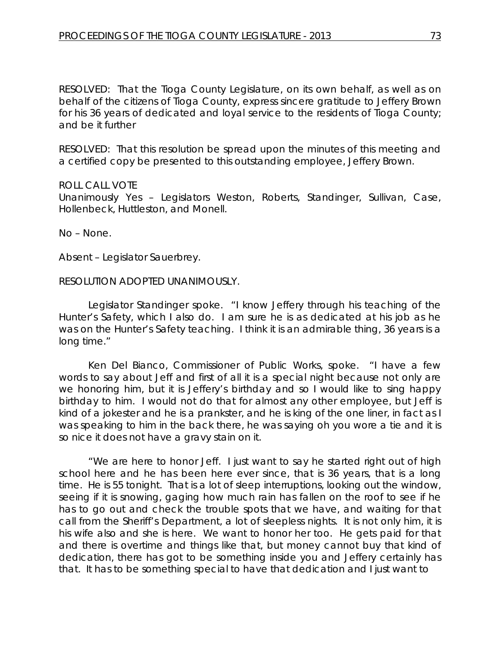RESOLVED: That the Tioga County Legislature, on its own behalf, as well as on behalf of the citizens of Tioga County, express sincere gratitude to Jeffery Brown for his 36 years of dedicated and loyal service to the residents of Tioga County; and be it further

RESOLVED: That this resolution be spread upon the minutes of this meeting and a certified copy be presented to this outstanding employee, Jeffery Brown.

#### ROLL CALL VOTE

Unanimously Yes – Legislators Weston, Roberts, Standinger, Sullivan, Case, Hollenbeck, Huttleston, and Monell.

No – None.

Absent – Legislator Sauerbrey.

#### RESOLUTION ADOPTED UNANIMOUSLY.

Legislator Standinger spoke. "I know Jeffery through his teaching of the Hunter's Safety, which I also do. I am sure he is as dedicated at his job as he was on the Hunter's Safety teaching. I think it is an admirable thing, 36 years is a long time."

Ken Del Bianco, Commissioner of Public Works, spoke. "I have a few words to say about Jeff and first of all it is a special night because not only are we honoring him, but it is Jeffery's birthday and so I would like to sing happy birthday to him. I would not do that for almost any other employee, but Jeff is kind of a jokester and he is a prankster, and he is king of the one liner, in fact as I was speaking to him in the back there, he was saying oh you wore a tie and it is so nice it does not have a gravy stain on it.

"We are here to honor Jeff. I just want to say he started right out of high school here and he has been here ever since, that is 36 years, that is a long time. He is 55 tonight. That is a lot of sleep interruptions, looking out the window, seeing if it is snowing, gaging how much rain has fallen on the roof to see if he has to go out and check the trouble spots that we have, and waiting for that call from the Sheriff's Department, a lot of sleepless nights. It is not only him, it is his wife also and she is here. We want to honor her too. He gets paid for that and there is overtime and things like that, but money cannot buy that kind of dedication, there has got to be something inside you and Jeffery certainly has that. It has to be something special to have that dedication and I just want to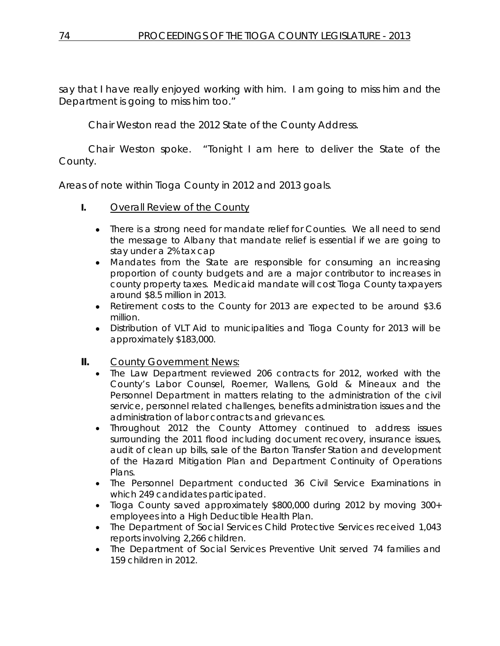say that I have really enjoyed working with him. I am going to miss him and the Department is going to miss him too."

Chair Weston read the 2012 State of the County Address.

Chair Weston spoke. "Tonight I am here to deliver the State of the County.

Areas of note within Tioga County in 2012 and 2013 goals.

- **I.** Overall Review of the County
	- There is a strong need for mandate relief for Counties. We all need to send the message to Albany that mandate relief is essential if we are going to stay under a 2% tax cap
	- Mandates from the State are responsible for consuming an increasing proportion of county budgets and are a major contributor to increases in county property taxes. Medicaid mandate will cost Tioga County taxpayers around \$8.5 million in 2013.
	- Retirement costs to the County for 2013 are expected to be around \$3.6 million.
	- Distribution of VLT Aid to municipalities and Tioga County for 2013 will be approximately \$183,000.
- **II.** County Government News:
	- The Law Department reviewed 206 contracts for 2012, worked with the County's Labor Counsel, Roemer, Wallens, Gold & Mineaux and the Personnel Department in matters relating to the administration of the civil service, personnel related challenges, benefits administration issues and the administration of labor contracts and grievances.
	- Throughout 2012 the County Attorney continued to address issues surrounding the 2011 flood including document recovery, insurance issues, audit of clean up bills, sale of the Barton Transfer Station and development of the Hazard Mitigation Plan and Department Continuity of Operations Plans.
	- The Personnel Department conducted 36 Civil Service Examinations in which 249 candidates participated.
	- Tioga County saved approximately \$800,000 during 2012 by moving 300+ employees into a High Deductible Health Plan.
	- The Department of Social Services Child Protective Services received 1,043 reports involving 2,266 children.
	- The Department of Social Services Preventive Unit served 74 families and 159 children in 2012.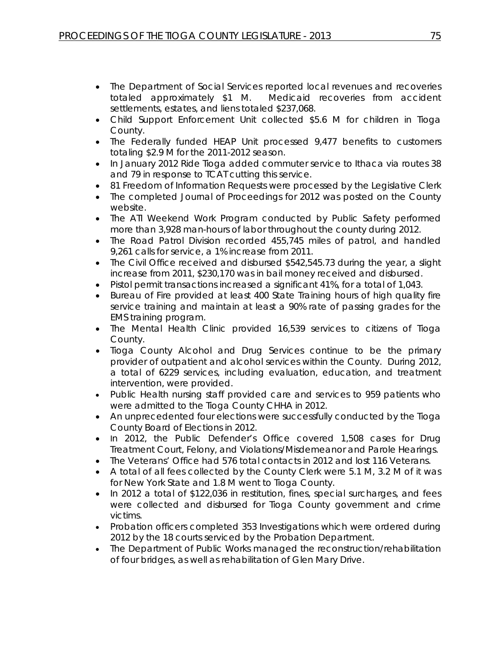- The Department of Social Services reported local revenues and recoveries totaled approximately \$1 M. Medicaid recoveries from accident settlements, estates, and liens totaled \$237,068.
- Child Support Enforcement Unit collected \$5.6 M for children in Tioga County.
- The Federally funded HEAP Unit processed 9,477 benefits to customers totaling \$2.9 M for the 2011-2012 season.
- In January 2012 Ride Tioga added commuter service to Ithaca via routes 38 and 79 in response to TCAT cutting this service.
- 81 Freedom of Information Requests were processed by the Legislative Clerk
- The completed Journal of Proceedings for 2012 was posted on the County website.
- The ATI Weekend Work Program conducted by Public Safety performed more than 3,928 man-hours of labor throughout the county during 2012.
- The Road Patrol Division recorded 455,745 miles of patrol, and handled 9,261 calls for service, a 1% increase from 2011.
- The Civil Office received and disbursed \$542,545.73 during the year, a slight increase from 2011, \$230,170 was in bail money received and disbursed.
- Pistol permit transactions increased a significant 41%, for a total of 1,043.
- Bureau of Fire provided at least 400 State Training hours of high quality fire service training and maintain at least a 90% rate of passing grades for the EMS training program.
- The Mental Health Clinic provided 16,539 services to citizens of Tioga County.
- Tioga County Alcohol and Drug Services continue to be the primary provider of outpatient and alcohol services within the County. During 2012, a total of 6229 services, including evaluation, education, and treatment intervention, were provided.
- Public Health nursing staff provided care and services to 959 patients who were admitted to the Tioga County CHHA in 2012.
- An unprecedented four elections were successfully conducted by the Tioga County Board of Elections in 2012.
- In 2012, the Public Defender's Office covered 1,508 cases for Drug Treatment Court, Felony, and Violations/Misdemeanor and Parole Hearings.
- The Veterans' Office had 576 total contacts in 2012 and lost 116 Veterans.
- A total of all fees collected by the County Clerk were 5.1 M, 3.2 M of it was for New York State and 1.8 M went to Tioga County.
- In 2012 a total of \$122,036 in restitution, fines, special surcharges, and fees were collected and disbursed for Tioga County government and crime victims.
- Probation officers completed 353 Investigations which were ordered during 2012 by the 18 courts serviced by the Probation Department.
- The Department of Public Works managed the reconstruction/rehabilitation of four bridges, as well as rehabilitation of Glen Mary Drive.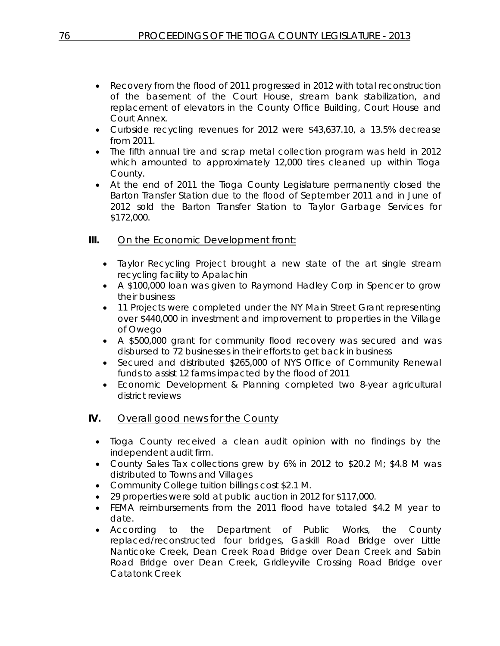- Recovery from the flood of 2011 progressed in 2012 with total reconstruction of the basement of the Court House, stream bank stabilization, and replacement of elevators in the County Office Building, Court House and Court Annex.
- Curbside recycling revenues for 2012 were \$43,637.10, a 13.5% decrease from 2011.
- The fifth annual tire and scrap metal collection program was held in 2012 which amounted to approximately 12,000 tires cleaned up within Tioga County.
- At the end of 2011 the Tioga County Legislature permanently closed the Barton Transfer Station due to the flood of September 2011 and in June of 2012 sold the Barton Transfer Station to Taylor Garbage Services for \$172,000.

## **III.** On the Economic Development front:

- Taylor Recycling Project brought a new state of the art single stream recycling facility to Apalachin
- A \$100,000 loan was given to Raymond Hadley Corp in Spencer to grow their business
- 11 Projects were completed under the NY Main Street Grant representing over \$440,000 in investment and improvement to properties in the Village of Owego
- A \$500,000 grant for community flood recovery was secured and was disbursed to 72 businesses in their efforts to get back in business
- Secured and distributed \$265,000 of NYS Office of Community Renewal funds to assist 12 farms impacted by the flood of 2011
- Economic Development & Planning completed two 8-year agricultural district reviews

### **IV.** Overall good news for the County

- Tioga County received a clean audit opinion with no findings by the independent audit firm.
- County Sales Tax collections grew by 6% in 2012 to \$20.2 M; \$4.8 M was distributed to Towns and Villages
- Community College tuition billings cost \$2.1 M.
- 29 properties were sold at public auction in 2012 for \$117,000.
- FEMA reimbursements from the 2011 flood have totaled \$4.2 M year to date.
- According to the Department of Public Works, the County replaced/reconstructed four bridges, Gaskill Road Bridge over Little Nanticoke Creek, Dean Creek Road Bridge over Dean Creek and Sabin Road Bridge over Dean Creek, Gridleyville Crossing Road Bridge over Catatonk Creek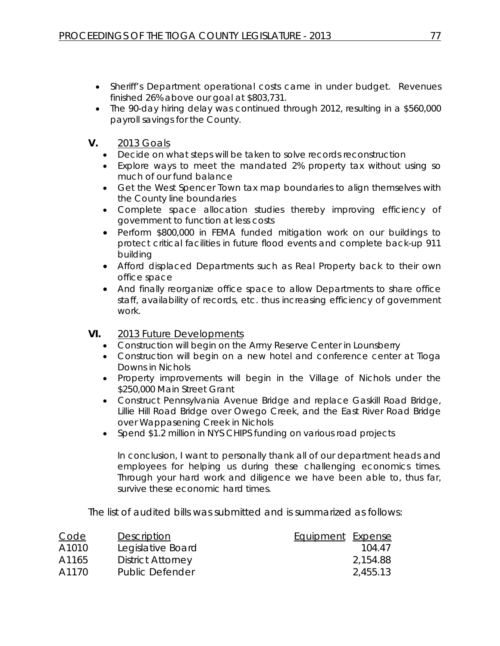- Sheriff's Department operational costs came in under budget. Revenues finished 26% above our goal at \$803,731.
- The 90-day hiring delay was continued through 2012, resulting in a \$560,000 payroll savings for the County.
- **V.** 2013 Goals
	- Decide on what steps will be taken to solve records reconstruction
	- Explore ways to meet the mandated 2% property tax without using so much of our fund balance
	- Get the West Spencer Town tax map boundaries to align themselves with the County line boundaries
	- Complete space allocation studies thereby improving efficiency of government to function at less costs
	- Perform \$800,000 in FEMA funded mitigation work on our buildings to protect critical facilities in future flood events and complete back-up 911 building
	- Afford displaced Departments such as Real Property back to their own office space
	- And finally reorganize office space to allow Departments to share office staff, availability of records, etc. thus increasing efficiency of government work.
- **VI.** 2013 Future Developments
	- Construction will begin on the Army Reserve Center in Lounsberry
	- Construction will begin on a new hotel and conference center at Tioga Downs in Nichols
	- Property improvements will begin in the Village of Nichols under the \$250,000 Main Street Grant
	- Construct Pennsylvania Avenue Bridge and replace Gaskill Road Bridge, Lillie Hill Road Bridge over Owego Creek, and the East River Road Bridge over Wappasening Creek in Nichols
	- Spend \$1.2 million in NYS CHIPS funding on various road projects

In conclusion, I want to personally thank all of our department heads and employees for helping us during these challenging economics times. Through your hard work and diligence we have been able to, thus far, survive these economic hard times.

The list of audited bills was submitted and is summarized as follows:

| Code  | Description              | Equipment Expense |          |
|-------|--------------------------|-------------------|----------|
| A1010 | Legislative Board        |                   | 104.47   |
| A1165 | <b>District Attorney</b> |                   | 2,154.88 |
| A1170 | Public Defender          |                   | 2,455.13 |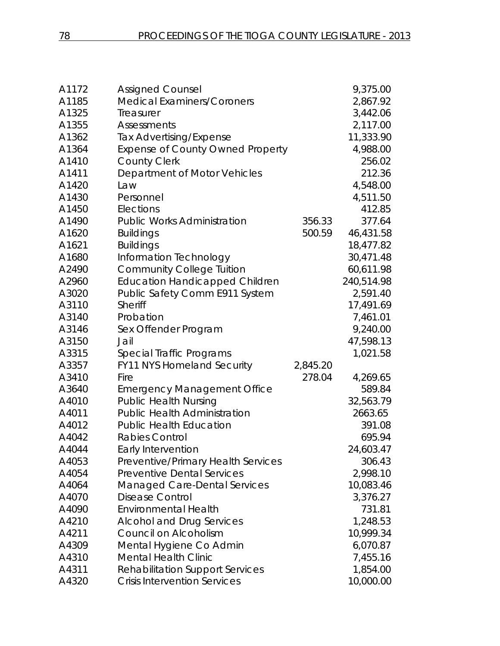| A1172 | <b>Assigned Counsel</b>                 |          | 9,375.00   |
|-------|-----------------------------------------|----------|------------|
| A1185 | <b>Medical Examiners/Coroners</b>       |          | 2,867.92   |
| A1325 | Treasurer                               |          | 3,442.06   |
| A1355 | <b>Assessments</b>                      |          | 2,117.00   |
| A1362 | <b>Tax Advertising/Expense</b>          |          | 11,333.90  |
| A1364 | <b>Expense of County Owned Property</b> |          | 4,988.00   |
| A1410 | <b>County Clerk</b>                     |          | 256.02     |
| A1411 | Department of Motor Vehicles            |          | 212.36     |
| A1420 | Law                                     |          | 4,548.00   |
| A1430 | Personnel                               |          | 4,511.50   |
| A1450 | Elections                               |          | 412.85     |
| A1490 | <b>Public Works Administration</b>      | 356.33   | 377.64     |
| A1620 | <b>Buildings</b>                        | 500.59   | 46,431.58  |
| A1621 | <b>Buildings</b>                        |          | 18,477.82  |
| A1680 | Information Technology                  |          | 30,471.48  |
| A2490 | <b>Community College Tuition</b>        |          | 60,611.98  |
| A2960 | <b>Education Handicapped Children</b>   |          | 240,514.98 |
| A3020 | Public Safety Comm E911 System          |          | 2,591.40   |
| A3110 | Sheriff                                 |          | 17,491.69  |
| A3140 | Probation                               |          | 7,461.01   |
| A3146 | Sex Offender Program                    |          | 9,240.00   |
| A3150 | Jail                                    |          | 47,598.13  |
| A3315 | Special Traffic Programs                |          | 1,021.58   |
| A3357 | FY11 NYS Homeland Security              | 2,845.20 |            |
| A3410 | Fire                                    | 278.04   | 4,269.65   |
| A3640 | <b>Emergency Management Office</b>      |          | 589.84     |
| A4010 | <b>Public Health Nursing</b>            |          | 32,563.79  |
| A4011 | <b>Public Health Administration</b>     |          | 2663.65    |
| A4012 | <b>Public Health Education</b>          |          | 391.08     |
| A4042 | <b>Rabies Control</b>                   |          | 695.94     |
| A4044 | Early Intervention                      |          | 24,603.47  |
| A4053 | Preventive/Primary Health Services      |          | 306.43     |
| A4054 | <b>Preventive Dental Services</b>       |          | 2,998.10   |
| A4064 | <b>Managed Care-Dental Services</b>     |          | 10,083.46  |
| A4070 | <b>Disease Control</b>                  |          | 3,376.27   |
| A4090 | <b>Environmental Health</b>             |          | 731.81     |
| A4210 | <b>Alcohol and Drug Services</b>        |          | 1,248.53   |
| A4211 | Council on Alcoholism                   |          | 10,999.34  |
| A4309 | Mental Hygiene Co Admin                 |          | 6,070.87   |
| A4310 | <b>Mental Health Clinic</b>             |          | 7,455.16   |
| A4311 | <b>Rehabilitation Support Services</b>  |          | 1,854.00   |
| A4320 | <b>Crisis Intervention Services</b>     |          | 10,000.00  |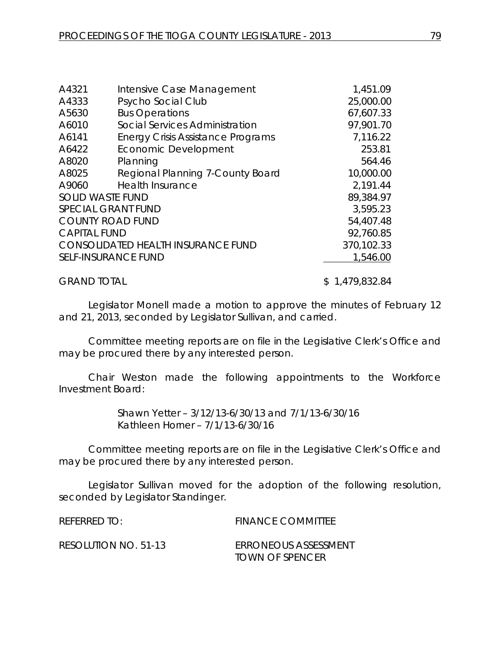| A4321                      | Intensive Case Management                | 1,451.09   |
|----------------------------|------------------------------------------|------------|
| A4333                      | Psycho Social Club                       | 25,000.00  |
| A5630                      | <b>Bus Operations</b>                    | 67,607.33  |
| A6010                      | Social Services Administration           | 97,901.70  |
| A6141                      | <b>Energy Crisis Assistance Programs</b> | 7,116.22   |
| A6422                      | <b>Economic Development</b>              | 253.81     |
| A8020                      | Planning                                 | 564.46     |
| A8025                      | Regional Planning 7-County Board         | 10,000.00  |
| A9060                      | <b>Health Insurance</b>                  | 2,191.44   |
| <b>SOLID WASTE FUND</b>    |                                          | 89,384.97  |
| <b>SPECIAL GRANT FUND</b>  |                                          | 3,595.23   |
| <b>COUNTY ROAD FUND</b>    |                                          | 54,407.48  |
| <b>CAPITAL FUND</b>        |                                          | 92,760.85  |
|                            | CONSOLIDATED HEALTH INSURANCE FUND       | 370,102.33 |
| <b>SELF-INSURANCE FUND</b> |                                          | 1,546.00   |
|                            |                                          |            |
|                            |                                          |            |

GRAND TOTAL \$ 1,479,832.84

Legislator Monell made a motion to approve the minutes of February 12 and 21, 2013, seconded by Legislator Sullivan, and carried.

Committee meeting reports are on file in the Legislative Clerk's Office and may be procured there by any interested person.

Chair Weston made the following appointments to the Workforce Investment Board:

> Shawn Yetter – 3/12/13-6/30/13 and 7/1/13-6/30/16 Kathleen Horner – 7/1/13-6/30/16

Committee meeting reports are on file in the Legislative Clerk's Office and may be procured there by any interested person.

Legislator Sullivan moved for the adoption of the following resolution, seconded by Legislator Standinger.

REFERRED TO: FINANCE COMMITTEE RESOLUTION NO. 51-13 *ERRONEOUS ASSESSMENT TOWN OF SPENCER*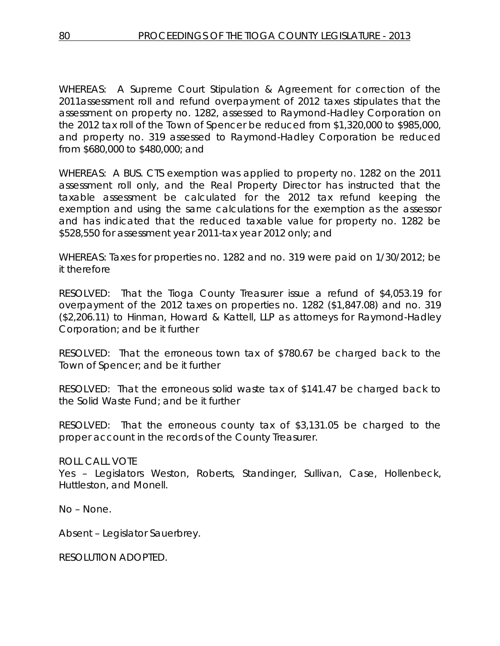WHEREAS: A Supreme Court Stipulation & Agreement for correction of the 2011assessment roll and refund overpayment of 2012 taxes stipulates that the assessment on property no. 1282, assessed to Raymond-Hadley Corporation on the 2012 tax roll of the Town of Spencer be reduced from \$1,320,000 to \$985,000, and property no. 319 assessed to Raymond-Hadley Corporation be reduced from \$680,000 to \$480,000; and

WHEREAS: A BUS. CTS exemption was applied to property no. 1282 on the 2011 assessment roll only, and the Real Property Director has instructed that the taxable assessment be calculated for the 2012 tax refund keeping the exemption and using the same calculations for the exemption as the assessor and has indicated that the reduced taxable value for property no. 1282 be \$528,550 for assessment year 2011-tax year 2012 only; and

WHEREAS: Taxes for properties no. 1282 and no. 319 were paid on 1/30/2012; be it therefore

RESOLVED: That the Tioga County Treasurer issue a refund of \$4,053.19 for overpayment of the 2012 taxes on properties no. 1282 (\$1,847.08) and no. 319 (\$2,206.11) to Hinman, Howard & Kattell, LLP as attorneys for Raymond-Hadley Corporation; and be it further

RESOLVED: That the erroneous town tax of \$780.67 be charged back to the Town of Spencer; and be it further

RESOLVED: That the erroneous solid waste tax of \$141.47 be charged back to the Solid Waste Fund; and be it further

RESOLVED: That the erroneous county tax of \$3,131.05 be charged to the proper account in the records of the County Treasurer.

#### ROLL CALL VOTE

Yes - Legislators Weston, Roberts, Standinger, Sullivan, Case, Hollenbeck, Huttleston, and Monell.

No – None.

Absent – Legislator Sauerbrey.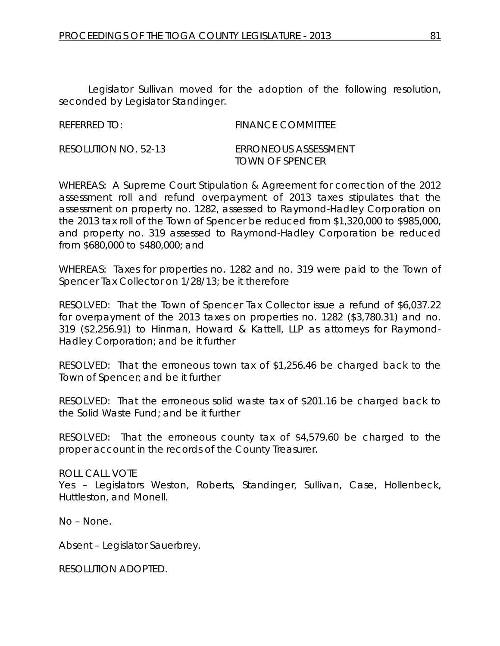| <b>REFERRED TO:</b> | <b>FINANCE COMMITTEE</b> |
|---------------------|--------------------------|
|                     |                          |

| RESOLUTION NO. 52-13 | ERRONEOUS ASSESSMENT |
|----------------------|----------------------|
|                      | TOWN OF SPENCER      |

WHEREAS: A Supreme Court Stipulation & Agreement for correction of the 2012 assessment roll and refund overpayment of 2013 taxes stipulates that the assessment on property no. 1282, assessed to Raymond-Hadley Corporation on the 2013 tax roll of the Town of Spencer be reduced from \$1,320,000 to \$985,000, and property no. 319 assessed to Raymond-Hadley Corporation be reduced from \$680,000 to \$480,000; and

WHEREAS: Taxes for properties no. 1282 and no. 319 were paid to the Town of Spencer Tax Collector on 1/28/13; be it therefore

RESOLVED: That the Town of Spencer Tax Collector issue a refund of \$6,037.22 for overpayment of the 2013 taxes on properties no. 1282 (\$3,780.31) and no. 319 (\$2,256.91) to Hinman, Howard & Kattell, LLP as attorneys for Raymond-Hadley Corporation; and be it further

RESOLVED: That the erroneous town tax of \$1,256.46 be charged back to the Town of Spencer; and be it further

RESOLVED: That the erroneous solid waste tax of \$201.16 be charged back to the Solid Waste Fund; and be it further

RESOLVED: That the erroneous county tax of \$4,579.60 be charged to the proper account in the records of the County Treasurer.

ROLL CALL VOTE Yes – Legislators Weston, Roberts, Standinger, Sullivan, Case, Hollenbeck, Huttleston, and Monell.

No – None.

Absent – Legislator Sauerbrey.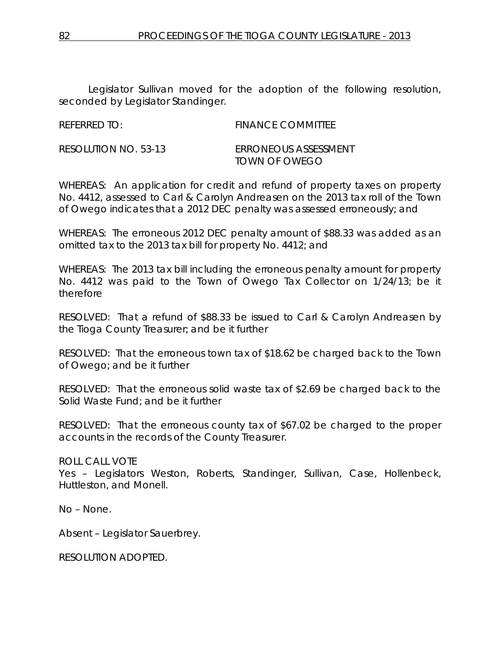| <b>REFERRED TO:</b> | <b>FINANCE COMMITTEE</b> |
|---------------------|--------------------------|

RESOLUTION NO. 53-13 *ERRONEOUS ASSESSMENT TOWN OF OWEGO*

WHEREAS: An application for credit and refund of property taxes on property No. 4412, assessed to Carl & Carolyn Andreasen on the 2013 tax roll of the Town of Owego indicates that a 2012 DEC penalty was assessed erroneously; and

WHEREAS: The erroneous 2012 DEC penalty amount of \$88.33 was added as an omitted tax to the 2013 tax bill for property No. 4412; and

WHEREAS: The 2013 tax bill including the erroneous penalty amount for property No. 4412 was paid to the Town of Owego Tax Collector on 1/24/13; be it therefore

RESOLVED: That a refund of \$88.33 be issued to Carl & Carolyn Andreasen by the Tioga County Treasurer; and be it further

RESOLVED: That the erroneous town tax of \$18.62 be charged back to the Town of Owego; and be it further

RESOLVED: That the erroneous solid waste tax of \$2.69 be charged back to the Solid Waste Fund; and be it further

RESOLVED: That the erroneous county tax of \$67.02 be charged to the proper accounts in the records of the County Treasurer.

### ROLL CALL VOTE

Yes - Legislators Weston, Roberts, Standinger, Sullivan, Case, Hollenbeck, Huttleston, and Monell.

No – None.

Absent – Legislator Sauerbrey.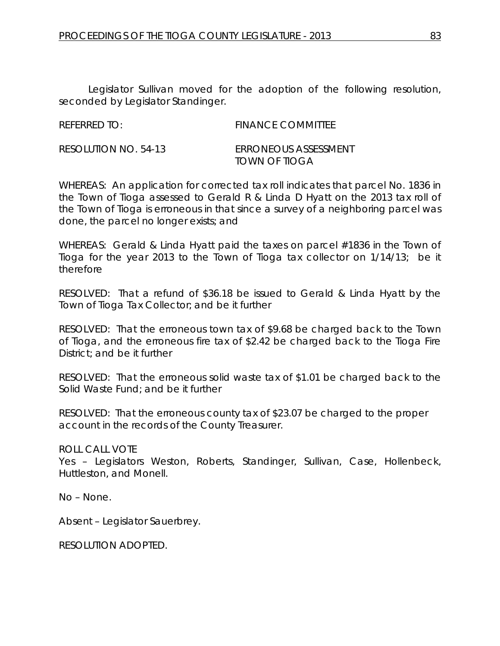REFERRED TO: FINANCE COMMITTEE

RESOLUTION NO. 54-13 *ERRONEOUS ASSESSMENT TOWN OF TIOGA*

WHEREAS: An application for corrected tax roll indicates that parcel No. 1836 in the Town of Tioga assessed to Gerald R & Linda D Hyatt on the 2013 tax roll of the Town of Tioga is erroneous in that since a survey of a neighboring parcel was done, the parcel no longer exists; and

WHEREAS: Gerald & Linda Hyatt paid the taxes on parcel #1836 in the Town of Tioga for the year 2013 to the Town of Tioga tax collector on 1/14/13; be it therefore

RESOLVED: That a refund of \$36.18 be issued to Gerald & Linda Hyatt by the Town of Tioga Tax Collector; and be it further

RESOLVED: That the erroneous town tax of \$9.68 be charged back to the Town of Tioga, and the erroneous fire tax of \$2.42 be charged back to the Tioga Fire District; and be it further

RESOLVED: That the erroneous solid waste tax of \$1.01 be charged back to the Solid Waste Fund; and be it further

RESOLVED: That the erroneous county tax of \$23.07 be charged to the proper account in the records of the County Treasurer.

ROLL CALL VOTE

Yes – Legislators Weston, Roberts, Standinger, Sullivan, Case, Hollenbeck, Huttleston, and Monell.

No – None.

Absent – Legislator Sauerbrey.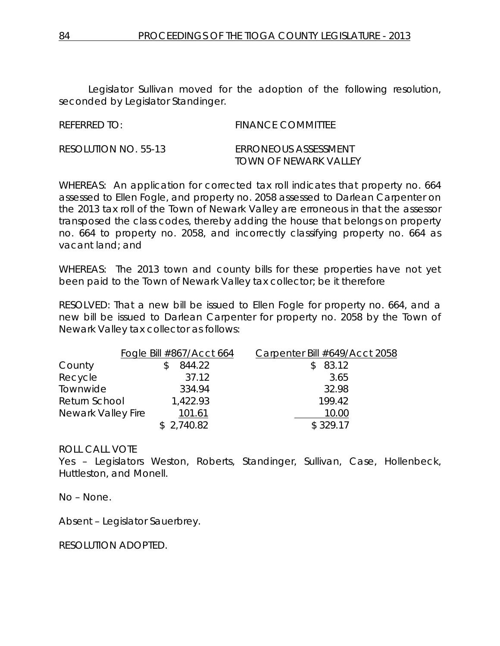| <b>REFERRED TO:</b> | <b>FINANCE COMMITTEE</b> |
|---------------------|--------------------------|
|                     |                          |

| RESOLUTION NO. 55-13 | <b>ERRONEOUS ASSESSMENT</b> |
|----------------------|-----------------------------|
|                      | TOWN OF NEWARK VALLEY       |

WHEREAS: An application for corrected tax roll indicates that property no. 664 assessed to Ellen Fogle, and property no. 2058 assessed to Darlean Carpenter on the 2013 tax roll of the Town of Newark Valley are erroneous in that the assessor transposed the class codes, thereby adding the house that belongs on property no. 664 to property no. 2058, and incorrectly classifying property no. 664 as vacant land; and

WHEREAS: The 2013 town and county bills for these properties have not yet been paid to the Town of Newark Valley tax collector; be it therefore

RESOLVED: That a new bill be issued to Ellen Fogle for property no. 664, and a new bill be issued to Darlean Carpenter for property no. 2058 by the Town of Newark Valley tax collector as follows:

|                    | Fogle Bill $\#867/A$ cct 664 | Carpenter Bill #649/Acct 2058 |
|--------------------|------------------------------|-------------------------------|
| County             | 844.22                       | 83.12                         |
| Recycle            | 37.12                        | 3.65                          |
| Townwide           | 334.94                       | 32.98                         |
| Return School      | 1,422.93                     | 199.42                        |
| Newark Valley Fire | 101.61                       | 10.00                         |
|                    | \$2,740.82                   | \$329.17                      |

### ROLL CALL VOTE

Yes – Legislators Weston, Roberts, Standinger, Sullivan, Case, Hollenbeck, Huttleston, and Monell.

No – None.

Absent – Legislator Sauerbrey.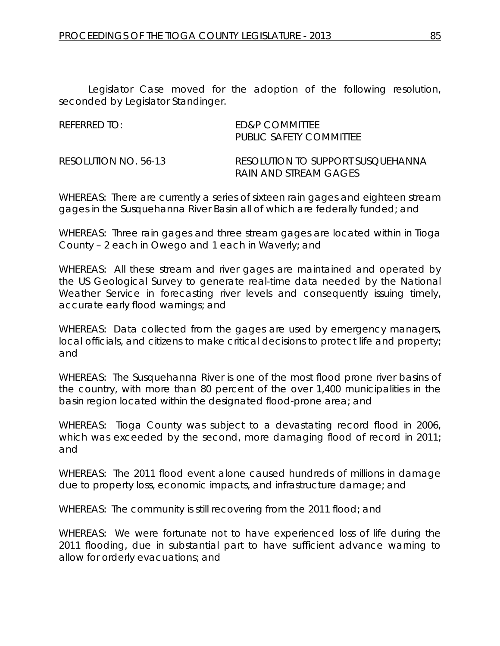| RFFFRRFD TO: I        | <b>FD&amp;P COMMITTEE</b><br>PUBLIC SAFFTY COMMITTEE       |
|-----------------------|------------------------------------------------------------|
| RESOLUTION NO. 56-13. | RESOLUTION TO SUPPORT SUSOUFHANNA<br>RAIN AND STREAM GAGES |

WHEREAS: There are currently a series of sixteen rain gages and eighteen stream gages in the Susquehanna River Basin all of which are federally funded; and

WHEREAS: Three rain gages and three stream gages are located within in Tioga County – 2 each in Owego and 1 each in Waverly; and

WHEREAS: All these stream and river gages are maintained and operated by the US Geological Survey to generate real-time data needed by the National Weather Service in forecasting river levels and consequently issuing timely, accurate early flood warnings; and

WHEREAS: Data collected from the gages are used by emergency managers, local officials, and citizens to make critical decisions to protect life and property; and

WHEREAS: The Susquehanna River is one of the most flood prone river basins of the country, with more than 80 percent of the over 1,400 municipalities in the basin region located within the designated flood-prone area; and

WHEREAS: Tioga County was subject to a devastating record flood in 2006, which was exceeded by the second, more damaging flood of record in 2011; and

WHEREAS: The 2011 flood event alone caused hundreds of millions in damage due to property loss, economic impacts, and infrastructure damage; and

WHEREAS: The community is still recovering from the 2011 flood; and

WHEREAS: We were fortunate not to have experienced loss of life during the 2011 flooding, due in substantial part to have sufficient advance warning to allow for orderly evacuations; and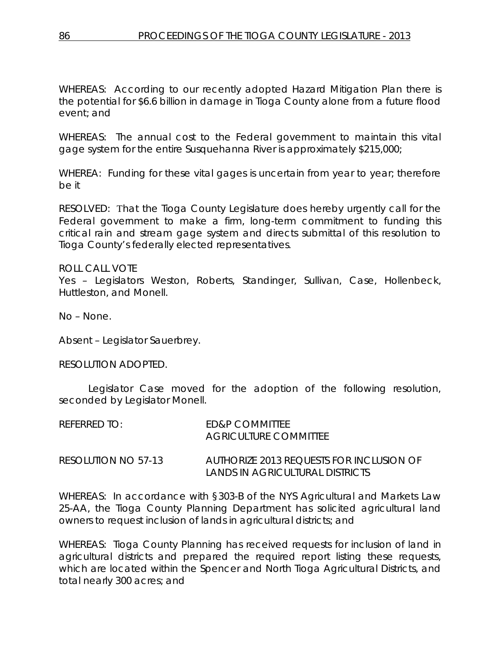WHEREAS: According to our recently adopted Hazard Mitigation Plan there is the potential for \$6.6 billion in damage in Tioga County alone from a future flood event; and

WHEREAS: The annual cost to the Federal government to maintain this vital gage system for the entire Susquehanna River is approximately \$215,000;

WHEREA: Funding for these vital gages is uncertain from year to year; therefore be it

RESOLVED: That the Tioga County Legislature does hereby urgently call for the Federal government to make a firm, long-term commitment to funding this critical rain and stream gage system and directs submittal of this resolution to Tioga County's federally elected representatives.

ROLL CALL VOTE Yes – Legislators Weston, Roberts, Standinger, Sullivan, Case, Hollenbeck, Huttleston, and Monell.

No – None.

Absent – Legislator Sauerbrey.

#### RESOLUTION ADOPTED.

Legislator Case moved for the adoption of the following resolution, seconded by Legislator Monell.

| RFFFRRFD TO: I      | <b>FD&amp;P COMMITTEE</b><br>AGRICULTURE COMMITTEE                          |
|---------------------|-----------------------------------------------------------------------------|
| RESOLUTION NO 57-13 | AUTHORIZE 2013 REQUESTS FOR INCLUSION OF<br>LANDS IN AGRICULTURAL DISTRICTS |

WHEREAS: In accordance with §303-B of the NYS Agricultural and Markets Law 25-AA, the Tioga County Planning Department has solicited agricultural land owners to request inclusion of lands in agricultural districts; and

WHEREAS: Tioga County Planning has received requests for inclusion of land in agricultural districts and prepared the required report listing these requests, which are located within the Spencer and North Tioga Agricultural Districts, and total nearly 300 acres; and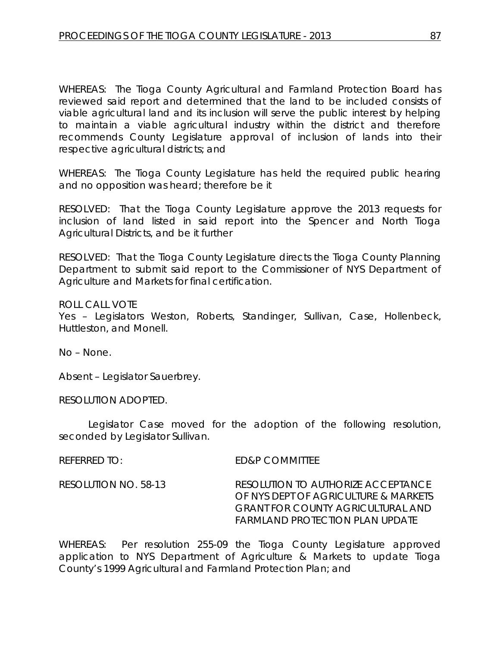WHEREAS: The Tioga County Agricultural and Farmland Protection Board has reviewed said report and determined that the land to be included consists of viable agricultural land and its inclusion will serve the public interest by helping to maintain a viable agricultural industry within the district and therefore recommends County Legislature approval of inclusion of lands into their respective agricultural districts; and

WHEREAS: The Tioga County Legislature has held the required public hearing and no opposition was heard; therefore be it

RESOLVED: That the Tioga County Legislature approve the 2013 requests for inclusion of land listed in said report into the Spencer and North Tioga Agricultural Districts, and be it further

RESOLVED: That the Tioga County Legislature directs the Tioga County Planning Department to submit said report to the Commissioner of NYS Department of Agriculture and Markets for final certification.

ROLL CALL VOTE

Yes – Legislators Weston, Roberts, Standinger, Sullivan, Case, Hollenbeck, Huttleston, and Monell.

No – None.

Absent – Legislator Sauerbrey.

RESOLUTION ADOPTED.

Legislator Case moved for the adoption of the following resolution, seconded by Legislator Sullivan.

REFERRED TO: ED&P COMMITTEE

RESOLUTION NO. 58-13 *RESOLUTION TO AUTHORIZE ACCEPTANCE OF NYS DEPT OF AGRICULTURE & MARKETS GRANT FOR COUNTY AGRICULTURAL AND FARMLAND PROTECTION PLAN UPDATE*

WHEREAS: Per resolution 255-09 the Tioga County Legislature approved application to NYS Department of Agriculture & Markets to update Tioga County's 1999 Agricultural and Farmland Protection Plan; and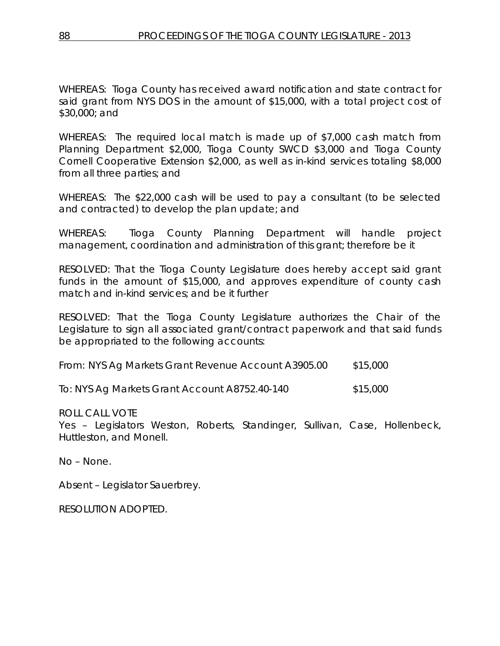WHEREAS: Tioga County has received award notification and state contract for said grant from NYS DOS in the amount of \$15,000, with a total project cost of \$30,000; and

WHEREAS: The required local match is made up of \$7,000 cash match from Planning Department \$2,000, Tioga County SWCD \$3,000 and Tioga County Cornell Cooperative Extension \$2,000, as well as in-kind services totaling \$8,000 from all three parties; and

WHEREAS: The \$22,000 cash will be used to pay a consultant (to be selected and contracted) to develop the plan update; and

WHEREAS: Tioga County Planning Department will handle project management, coordination and administration of this grant; therefore be it

RESOLVED: That the Tioga County Legislature does hereby accept said grant funds in the amount of \$15,000, and approves expenditure of county cash match and in-kind services; and be it further

RESOLVED: That the Tioga County Legislature authorizes the Chair of the Legislature to sign all associated grant/contract paperwork and that said funds be appropriated to the following accounts:

| From: NYS Ag Markets Grant Revenue Account A3905.00 | \$15,000 |
|-----------------------------------------------------|----------|
|                                                     |          |

To: NYS Ag Markets Grant Account A8752.40-140 \$15,000

ROLL CALL VOTE

Yes – Legislators Weston, Roberts, Standinger, Sullivan, Case, Hollenbeck, Huttleston, and Monell.

No – None.

Absent – Legislator Sauerbrey.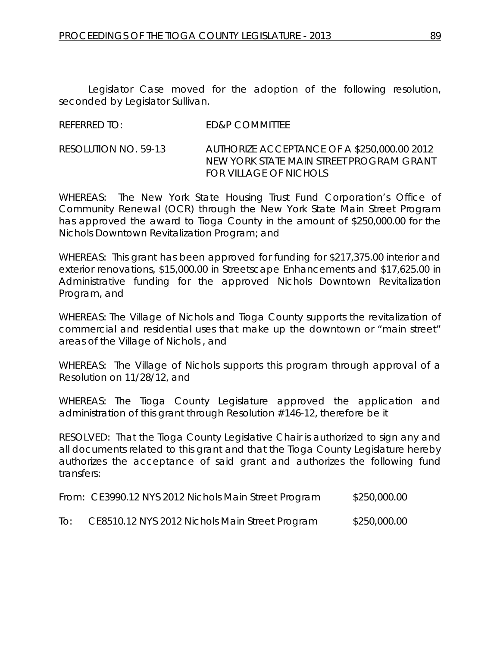Legislator Case moved for the adoption of the following resolution, seconded by Legislator Sullivan.

### REFERRED TO: ED&P COMMITTEE

RESOLUTION NO. 59-13 *AUTHORIZE ACCEPTANCE OF A \$250,000.00 2012 NEW YORK STATE MAIN STREET PROGRAM GRANT FOR VILLAGE OF NICHOLS*

WHEREAS: The New York State Housing Trust Fund Corporation's Office of Community Renewal (OCR) through the New York State Main Street Program has approved the award to Tioga County in the amount of \$250,000.00 for the Nichols Downtown Revitalization Program; and

WHEREAS: This grant has been approved for funding for \$217,375.00 interior and exterior renovations, \$15,000.00 in Streetscape Enhancements and \$17,625.00 in Administrative funding for the approved Nichols Downtown Revitalization Program, and

WHEREAS: The Village of Nichols and Tioga County supports the revitalization of commercial and residential uses that make up the downtown or "main street" areas of the Village of Nichols , and

WHEREAS: The Village of Nichols supports this program through approval of a Resolution on 11/28/12, and

WHEREAS: The Tioga County Legislature approved the application and administration of this grant through Resolution #146-12, therefore be it

RESOLVED: That the Tioga County Legislative Chair is authorized to sign any and all documents related to this grant and that the Tioga County Legislature hereby authorizes the acceptance of said grant and authorizes the following fund transfers:

|     | From: CE3990.12 NYS 2012 Nichols Main Street Program | \$250,000.00 |
|-----|------------------------------------------------------|--------------|
| IO: | CE8510.12 NYS 2012 Nichols Main Street Program       | \$250,000.00 |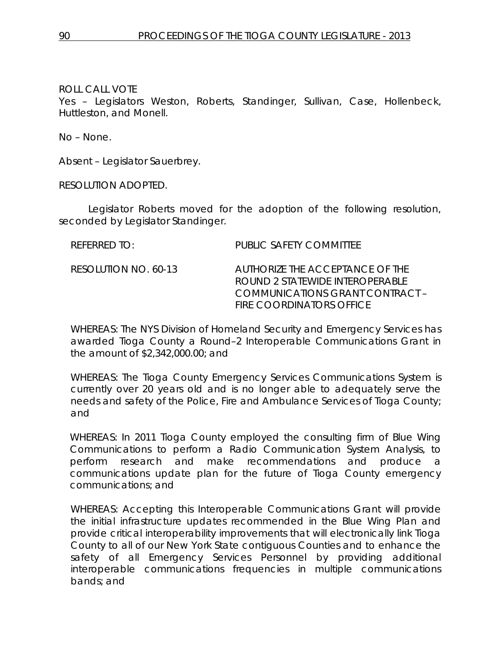Yes – Legislators Weston, Roberts, Standinger, Sullivan, Case, Hollenbeck, Huttleston, and Monell.

No – None.

Absent – Legislator Sauerbrey.

RESOLUTION ADOPTED.

Legislator Roberts moved for the adoption of the following resolution, seconded by Legislator Standinger.

| $R$ FFFRRFD TO:      | PUBLIC SAFETY COMMITTEE                                                                                                                  |
|----------------------|------------------------------------------------------------------------------------------------------------------------------------------|
| RESOLUTION NO. 60-13 | AUTHORIZE THE ACCEPTANCE OF THE<br>ROUND 2 STATEWIDE INTEROPERABLE<br>COMMUNICATIONS GRANT CONTRACT –<br><b>FIRE COORDINATORS OFFICE</b> |

WHEREAS: The NYS Division of Homeland Security and Emergency Services has awarded Tioga County a Round–2 Interoperable Communications Grant in the amount of \$2,342,000.00; and

WHEREAS: The Tioga County Emergency Services Communications System is currently over 20 years old and is no longer able to adequately serve the needs and safety of the Police, Fire and Ambulance Services of Tioga County; and

WHEREAS: In 2011 Tioga County employed the consulting firm of Blue Wing Communications to perform a Radio Communication System Analysis, to perform research and make recommendations and produce a communications update plan for the future of Tioga County emergency communications; and

WHEREAS: Accepting this Interoperable Communications Grant will provide the initial infrastructure updates recommended in the Blue Wing Plan and provide critical interoperability improvements that will electronically link Tioga County to all of our New York State contiguous Counties and to enhance the safety of all Emergency Services Personnel by providing additional interoperable communications frequencies in multiple communications bands; and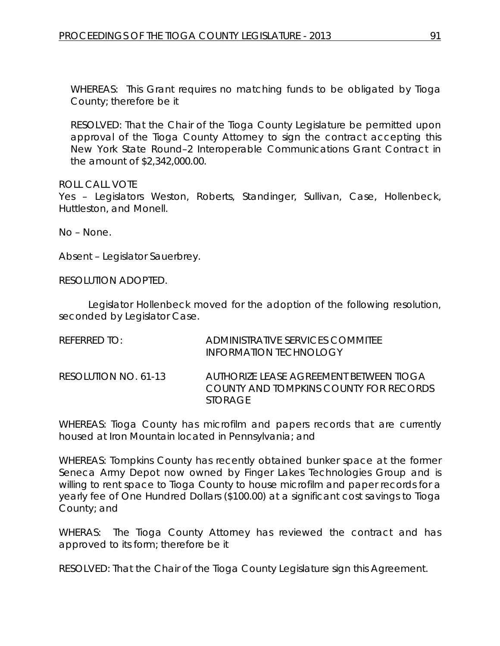WHEREAS: This Grant requires no matching funds to be obligated by Tioga County; therefore be it

RESOLVED: That the Chair of the Tioga County Legislature be permitted upon approval of the Tioga County Attorney to sign the contract accepting this New York State Round–2 Interoperable Communications Grant Contract in the amount of \$2,342,000.00.

ROLL CALL VOTE

Yes – Legislators Weston, Roberts, Standinger, Sullivan, Case, Hollenbeck, Huttleston, and Monell.

No – None.

Absent – Legislator Sauerbrey.

RESOLUTION ADOPTED.

Legislator Hollenbeck moved for the adoption of the following resolution, seconded by Legislator Case.

| REFERRED TO:         | ADMINISTRATIVE SERVICES COMMITEE<br>INFORMATION TECHNOLOGY                                          |
|----------------------|-----------------------------------------------------------------------------------------------------|
| RESOLUTION NO. 61-13 | AUTHORIZE LEASE AGREEMENT BETWEEN TIOGA<br>COUNTY AND TOMPKINS COUNTY FOR RECORDS<br><i>STORAGE</i> |

WHEREAS: Tioga County has microfilm and papers records that are currently housed at Iron Mountain located in Pennsylvania; and

WHEREAS: Tompkins County has recently obtained bunker space at the former Seneca Army Depot now owned by Finger Lakes Technologies Group and is willing to rent space to Tioga County to house microfilm and paper records for a yearly fee of One Hundred Dollars (\$100.00) at a significant cost savings to Tioga County; and

WHERAS: The Tioga County Attorney has reviewed the contract and has approved to its form; therefore be it

RESOLVED: That the Chair of the Tioga County Legislature sign this Agreement.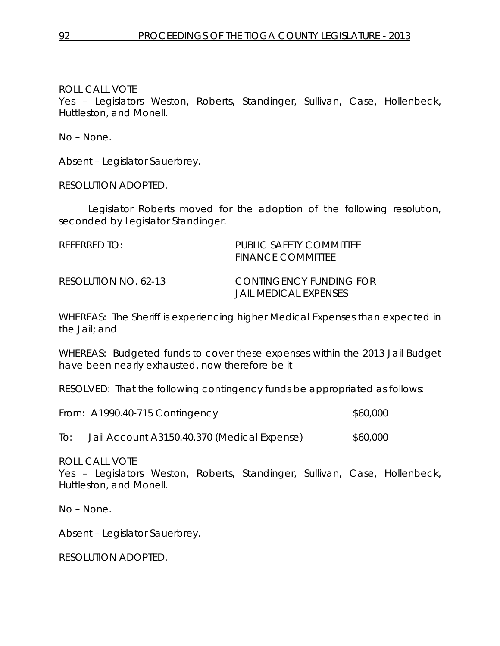Yes – Legislators Weston, Roberts, Standinger, Sullivan, Case, Hollenbeck, Huttleston, and Monell.

No – None.

Absent – Legislator Sauerbrey.

RESOLUTION ADOPTED.

Legislator Roberts moved for the adoption of the following resolution, seconded by Legislator Standinger.

| REFERRED TO:         | PUBLIC SAFETY COMMITTEE<br><b>FINANCE COMMITTEE</b>     |
|----------------------|---------------------------------------------------------|
| RESOLUTION NO. 62-13 | CONTINGENCY FUNDING FOR<br><b>JAIL MEDICAL EXPENSES</b> |

WHEREAS: The Sheriff is experiencing higher Medical Expenses than expected in the Jail; and

WHEREAS: Budgeted funds to cover these expenses within the 2013 Jail Budget have been nearly exhausted, now therefore be it

RESOLVED: That the following contingency funds be appropriated as follows:

|     | From: A1990.40-715 Contingency              | \$60,000 |
|-----|---------------------------------------------|----------|
| To: | Jail Account A3150.40.370 (Medical Expense) | \$60,000 |

ROLL CALL VOTE

Yes – Legislators Weston, Roberts, Standinger, Sullivan, Case, Hollenbeck, Huttleston, and Monell.

No – None.

Absent – Legislator Sauerbrey.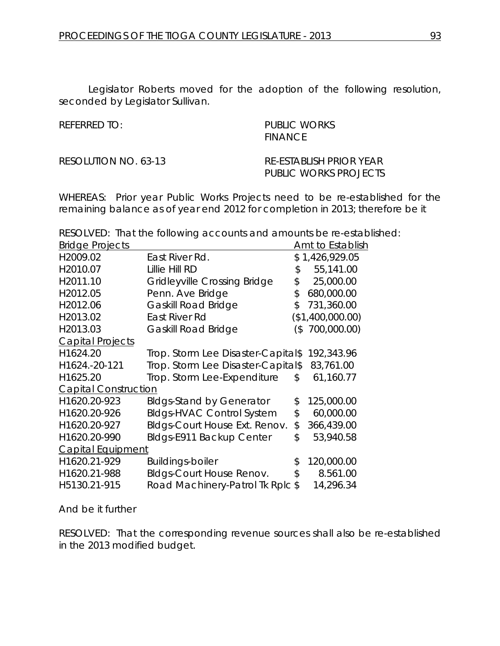Legislator Roberts moved for the adoption of the following resolution, seconded by Legislator Sullivan.

REFERRED TO: PUBLIC WORKS **FINANCE** 

RESOLUTION NO. 63-13 *RE-ESTABLISH PRIOR YEAR PUBLIC WORKS PROJECTS*

WHEREAS: Prior year Public Works Projects need to be re-established for the remaining balance as of year end 2012 for completion in 2013; therefore be it

RESOLVED: That the following accounts and amounts be re-established:

| <b>Bridge Projects</b>      |                                    |        | Amt to Establish |
|-----------------------------|------------------------------------|--------|------------------|
| H2009.02                    | East River Rd.                     |        | \$1,426,929.05   |
| H2010.07                    | <b>Lillie Hill RD</b>              | \$     | 55,141.00        |
| H2011.10                    | Gridleyville Crossing Bridge       | \$     | 25,000.00        |
| H2012.05                    | Penn. Ave Bridge                   | \$     | 680,000.00       |
| H2012.06                    | <b>Gaskill Road Bridge</b>         | \$     | 731,360.00       |
| H2013.02                    | East River Rd                      |        | (\$1,400,000.00) |
| H2013.03                    | <b>Gaskill Road Bridge</b>         | $($ \$ | 700,000.00)      |
| <b>Capital Projects</b>     |                                    |        |                  |
| H1624.20                    | Trop. Storm Lee Disaster-Capital\$ |        | 192,343.96       |
| H1624.-20-121               | Trop. Storm Lee Disaster-Capital\$ |        | 83,761.00        |
| H1625.20                    | Trop. Storm Lee-Expenditure        | \$     | 61,160.77        |
| <b>Capital Construction</b> |                                    |        |                  |
| H1620.20-923                | <b>Bldgs-Stand by Generator</b>    | \$     | 125,000.00       |
| H1620.20-926                | <b>BIdgs-HVAC Control System</b>   | \$     | 60,000.00        |
| H1620.20-927                | Bldgs-Court House Ext. Renov.      | \$     | 366,439.00       |
| H1620.20-990                | Bldgs-E911 Backup Center           | \$     | 53,940.58        |
| <b>Capital Equipment</b>    |                                    |        |                  |
| H1620.21-929                | <b>Buildings-boiler</b>            | \$     | 120,000.00       |
| H1620.21-988                | <b>Bldgs-Court House Renov.</b>    | \$     | 8.561.00         |
| H5130.21-915                | Road Machinery-Patrol Tk Rplc \$   |        | 14,296.34        |

And be it further

RESOLVED: That the corresponding revenue sources shall also be re-established in the 2013 modified budget.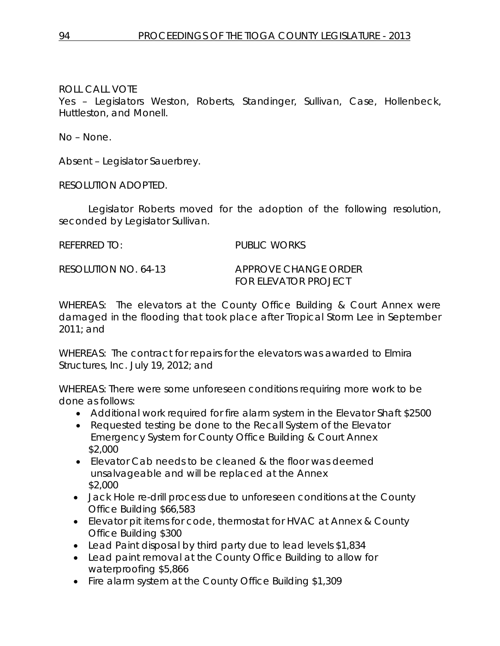Yes – Legislators Weston, Roberts, Standinger, Sullivan, Case, Hollenbeck, Huttleston, and Monell.

No – None.

Absent – Legislator Sauerbrey.

RESOLUTION ADOPTED.

Legislator Roberts moved for the adoption of the following resolution, seconded by Legislator Sullivan.

REFERRED TO: PUBLIC WORKS

RESOLUTION NO. 64-13 *APPROVE CHANGE ORDER FOR ELEVATOR PROJECT*

WHEREAS: The elevators at the County Office Building & Court Annex were damaged in the flooding that took place after Tropical Storm Lee in September 2011; and

WHEREAS: The contract for repairs for the elevators was awarded to Elmira Structures, Inc. July 19, 2012; and

WHEREAS: There were some unforeseen conditions requiring more work to be done as follows:

- Additional work required for fire alarm system in the Elevator Shaft \$2500
- Requested testing be done to the Recall System of the Elevator Emergency System for County Office Building & Court Annex \$2,000
- Elevator Cab needs to be cleaned & the floor was deemed unsalvageable and will be replaced at the Annex \$2,000
- Jack Hole re-drill process due to unforeseen conditions at the County Office Building \$66,583
- Elevator pit items for code, thermostat for HVAC at Annex & County Office Building \$300
- Lead Paint disposal by third party due to lead levels \$1,834
- Lead paint removal at the County Office Building to allow for waterproofing \$5,866
- Fire alarm system at the County Office Building \$1,309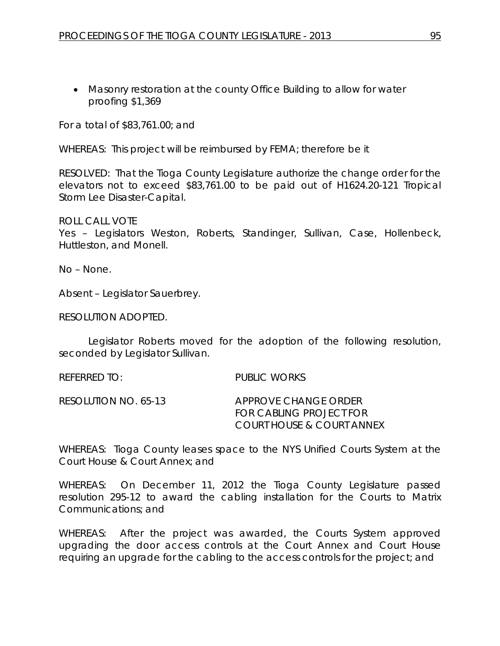• Masonry restoration at the county Office Building to allow for water proofing \$1,369

For a total of \$83,761.00; and

WHEREAS: This project will be reimbursed by FEMA; therefore be it

RESOLVED: That the Tioga County Legislature authorize the change order for the elevators not to exceed \$83,761.00 to be paid out of H1624.20-121 Tropical Storm Lee Disaster-Capital.

ROLL CALL VOTE

Yes – Legislators Weston, Roberts, Standinger, Sullivan, Case, Hollenbeck, Huttleston, and Monell.

No – None.

Absent – Legislator Sauerbrey.

RESOLUTION ADOPTED.

Legislator Roberts moved for the adoption of the following resolution, seconded by Legislator Sullivan.

REFERRED TO: PUBLIC WORKS

RESOLUTION NO. 65-13 *APPROVE CHANGE ORDER FOR CABLING PROJECT FOR COURT HOUSE & COURT ANNEX*

WHEREAS: Tioga County leases space to the NYS Unified Courts System at the Court House & Court Annex; and

WHEREAS: On December 11, 2012 the Tioga County Legislature passed resolution 295-12 to award the cabling installation for the Courts to Matrix Communications; and

WHEREAS: After the project was awarded, the Courts System approved upgrading the door access controls at the Court Annex and Court House requiring an upgrade for the cabling to the access controls for the project; and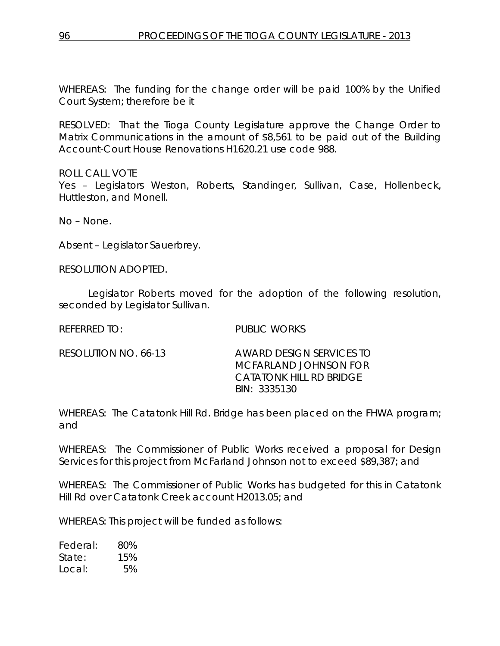WHEREAS: The funding for the change order will be paid 100% by the Unified Court System; therefore be it

RESOLVED: That the Tioga County Legislature approve the Change Order to Matrix Communications in the amount of \$8,561 to be paid out of the Building Account-Court House Renovations H1620.21 use code 988.

ROLL CALL VOTE

Yes - Legislators Weston, Roberts, Standinger, Sullivan, Case, Hollenbeck, Huttleston, and Monell.

No – None.

Absent – Legislator Sauerbrey.

RESOLUTION ADOPTED.

Legislator Roberts moved for the adoption of the following resolution, seconded by Legislator Sullivan.

REFERRED TO: PUBLIC WORKS

RESOLUTION NO. 66-13 *AWARD DESIGN SERVICES TO MCFARLAND JOHNSON FOR CATATONK HILL RD BRIDGE BIN: 3335130*

WHEREAS: The Catatonk Hill Rd. Bridge has been placed on the FHWA program; and

WHEREAS: The Commissioner of Public Works received a proposal for Design Services for this project from McFarland Johnson not to exceed \$89,387; and

WHEREAS: The Commissioner of Public Works has budgeted for this in Catatonk Hill Rd over Catatonk Creek account H2013.05; and

WHEREAS: This project will be funded as follows:

Federal: 80% State: 15% Local: 5%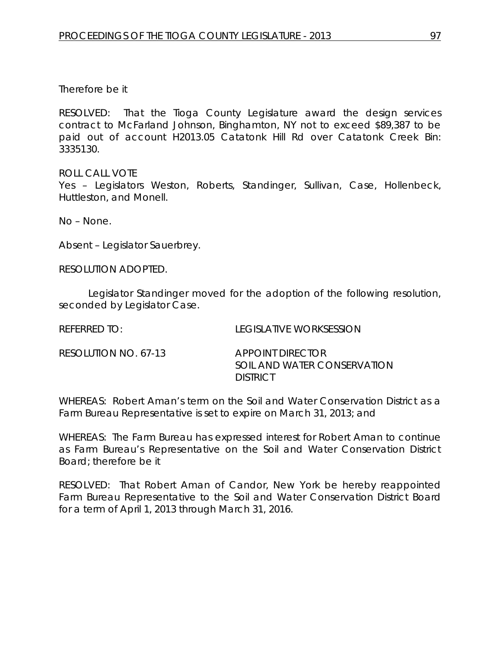### Therefore be it

RESOLVED: That the Tioga County Legislature award the design services contract to McFarland Johnson, Binghamton, NY not to exceed \$89,387 to be paid out of account H2013.05 Catatonk Hill Rd over Catatonk Creek Bin: 3335130.

ROLL CALL VOTE Yes - Legislators Weston, Roberts, Standinger, Sullivan, Case, Hollenbeck, Huttleston, and Monell.

No – None.

Absent – Legislator Sauerbrey.

RESOLUTION ADOPTED.

Legislator Standinger moved for the adoption of the following resolution, seconded by Legislator Case.

| REFERRED TO:         | TEGISLATIVE WORKSESSION                                            |
|----------------------|--------------------------------------------------------------------|
| RESOLUTION NO. 67-13 | APPOINT DIRECTOR<br>SOIL AND WATER CONSERVATION<br><b>DISTRICT</b> |

WHEREAS: Robert Aman's term on the Soil and Water Conservation District as a Farm Bureau Representative is set to expire on March 31, 2013; and

WHEREAS: The Farm Bureau has expressed interest for Robert Aman to continue as Farm Bureau's Representative on the Soil and Water Conservation District Board; therefore be it

RESOLVED: That Robert Aman of Candor, New York be hereby reappointed Farm Bureau Representative to the Soil and Water Conservation District Board for a term of April 1, 2013 through March 31, 2016.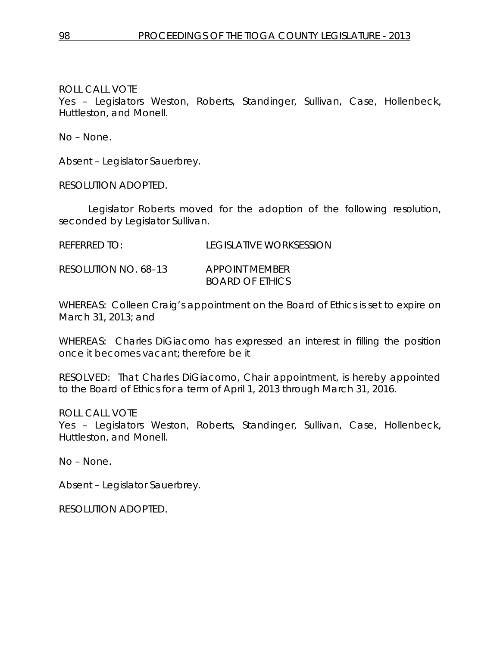Yes – Legislators Weston, Roberts, Standinger, Sullivan, Case, Hollenbeck, Huttleston, and Monell.

No – None.

Absent – Legislator Sauerbrey.

RESOLUTION ADOPTED.

Legislator Roberts moved for the adoption of the following resolution, seconded by Legislator Sullivan.

REFERRED TO: LEGISLATIVE WORKSESSION

RESOLUTION NO. 68–13 *APPOINT MEMBER BOARD OF ETHICS*

WHEREAS: Colleen Craig's appointment on the Board of Ethics is set to expire on March 31, 2013; and

WHEREAS: Charles DiGiacomo has expressed an interest in filling the position once it becomes vacant; therefore be it

RESOLVED: That Charles DiGiacomo, Chair appointment, is hereby appointed to the Board of Ethics for a term of April 1, 2013 through March 31, 2016.

ROLL CALL VOTE

Yes – Legislators Weston, Roberts, Standinger, Sullivan, Case, Hollenbeck, Huttleston, and Monell.

No – None.

Absent – Legislator Sauerbrey.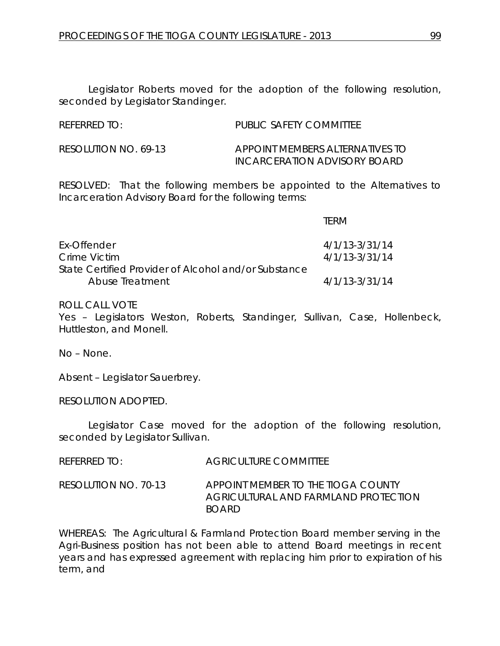REFERRED TO: PUBLIC SAFETY COMMITTEE

RESOLUTION NO. 69-13 *APPOINT MEMBERS ALTERNATIVES TO INCARCERATION ADVISORY BOARD*

RESOLVED: That the following members be appointed to the Alternatives to Incarceration Advisory Board for the following terms:

|                                                      | TERM               |
|------------------------------------------------------|--------------------|
| Ex-Offender                                          | $4/1/13 - 3/31/14$ |
| Crime Victim                                         | $4/1/13 - 3/31/14$ |
| State Certified Provider of Alcohol and/or Substance |                    |
| Abuse Treatment                                      | $4/1/13 - 3/31/14$ |

ROLL CALL VOTE

Yes – Legislators Weston, Roberts, Standinger, Sullivan, Case, Hollenbeck, Huttleston, and Monell.

No – None.

Absent – Legislator Sauerbrey.

RESOLUTION ADOPTED.

Legislator Case moved for the adoption of the following resolution, seconded by Legislator Sullivan.

| <b>REFERRED TO:</b> | <b>AGRICULTURE COMMITTEE</b> |
|---------------------|------------------------------|
|                     |                              |

RESOLUTION NO. 70-13 *APPOINT MEMBER TO THE TIOGA COUNTY AGRICULTURAL AND FARMLAND PROTECTION BOARD*

WHEREAS: The Agricultural & Farmland Protection Board member serving in the Agri-Business position has not been able to attend Board meetings in recent years and has expressed agreement with replacing him prior to expiration of his term, and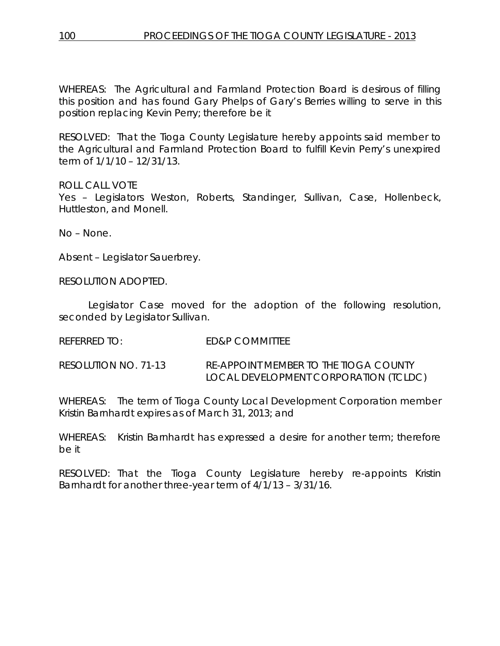WHEREAS: The Agricultural and Farmland Protection Board is desirous of filling this position and has found Gary Phelps of Gary's Berries willing to serve in this position replacing Kevin Perry; therefore be it

RESOLVED: That the Tioga County Legislature hereby appoints said member to the Agricultural and Farmland Protection Board to fulfill Kevin Perry's unexpired term of 1/1/10 – 12/31/13.

ROLL CALL VOTE

Yes – Legislators Weston, Roberts, Standinger, Sullivan, Case, Hollenbeck, Huttleston, and Monell.

No – None.

Absent – Legislator Sauerbrey.

RESOLUTION ADOPTED.

Legislator Case moved for the adoption of the following resolution, seconded by Legislator Sullivan.

REFERRED TO: ED&P COMMITTEE

RESOLUTION NO. 71-13 *RE-APPOINT MEMBER TO THE TIOGA COUNTY LOCAL DEVELOPMENT CORPORATION (TCLDC)*

WHEREAS: The term of Tioga County Local Development Corporation member Kristin Barnhardt expires as of March 31, 2013; and

WHEREAS: Kristin Barnhardt has expressed a desire for another term; therefore be it

RESOLVED: That the Tioga County Legislature hereby re-appoints Kristin Barnhardt for another three-year term of 4/1/13 – 3/31/16.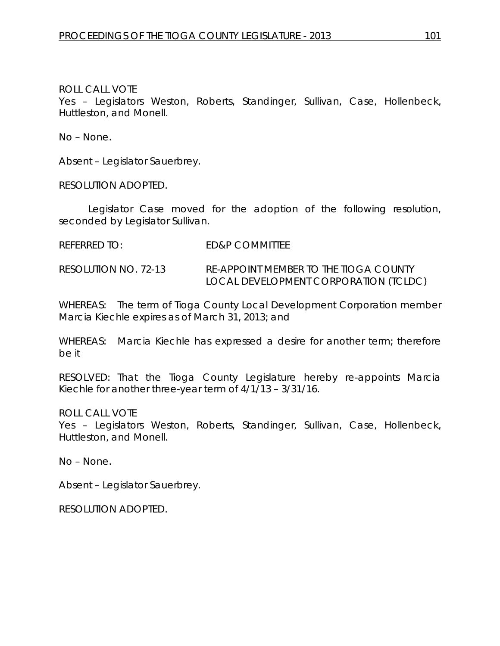Yes – Legislators Weston, Roberts, Standinger, Sullivan, Case, Hollenbeck, Huttleston, and Monell.

No – None.

Absent – Legislator Sauerbrey.

RESOLUTION ADOPTED.

Legislator Case moved for the adoption of the following resolution, seconded by Legislator Sullivan.

REFERRED TO: ED&P COMMITTEE

RESOLUTION NO. 72-13 *RE-APPOINT MEMBER TO THE TIOGA COUNTY LOCAL DEVELOPMENT CORPORATION (TCLDC)*

WHEREAS: The term of Tioga County Local Development Corporation member Marcia Kiechle expires as of March 31, 2013; and

WHEREAS: Marcia Kiechle has expressed a desire for another term; therefore be it

RESOLVED: That the Tioga County Legislature hereby re-appoints Marcia Kiechle for another three-year term of 4/1/13 – 3/31/16.

ROLL CALL VOTE

Yes – Legislators Weston, Roberts, Standinger, Sullivan, Case, Hollenbeck, Huttleston, and Monell.

No – None.

Absent – Legislator Sauerbrey.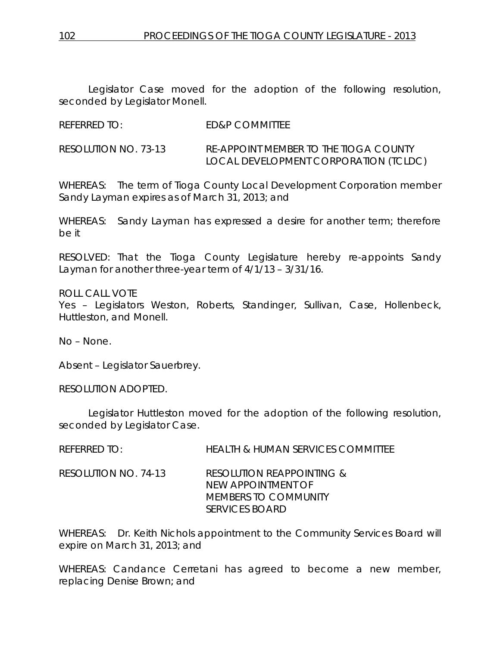Legislator Case moved for the adoption of the following resolution, seconded by Legislator Monell.

REFERRED TO: ED&P COMMITTEE

RESOLUTION NO. 73-13 *RE-APPOINT MEMBER TO THE TIOGA COUNTY LOCAL DEVELOPMENT CORPORATION (TCLDC)*

WHEREAS: The term of Tioga County Local Development Corporation member Sandy Layman expires as of March 31, 2013; and

WHEREAS: Sandy Layman has expressed a desire for another term; therefore be it

RESOLVED: That the Tioga County Legislature hereby re-appoints Sandy Layman for another three-year term of 4/1/13 – 3/31/16.

ROLL CALL VOTE Yes – Legislators Weston, Roberts, Standinger, Sullivan, Case, Hollenbeck, Huttleston, and Monell.

No – None.

Absent – Legislator Sauerbrey.

RESOLUTION ADOPTED.

Legislator Huttleston moved for the adoption of the following resolution, seconded by Legislator Case.

REFERRED TO: HEALTH & HUMAN SERVICES COMMITTEE

RESOLUTION NO. 74-13 *RESOLUTION REAPPOINTING & NEW APPOINTMENT OF MEMBERS TO COMMUNITY SERVICES BOARD*

WHEREAS: Dr. Keith Nichols appointment to the Community Services Board will expire on March 31, 2013; and

WHEREAS: Candance Cerretani has agreed to become a new member, replacing Denise Brown; and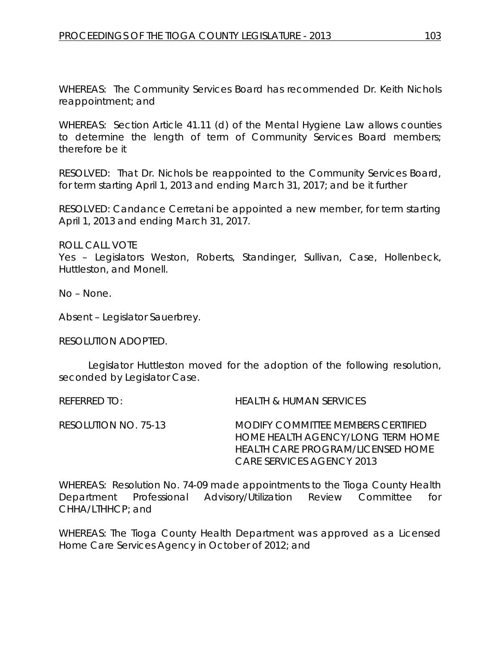WHEREAS: The Community Services Board has recommended Dr. Keith Nichols reappointment; and

WHEREAS: Section Article 41.11 (d) of the Mental Hygiene Law allows counties to determine the length of term of Community Services Board members; therefore be it

RESOLVED: That Dr. Nichols be reappointed to the Community Services Board, for term starting April 1, 2013 and ending March 31, 2017; and be it further

RESOLVED: Candance Cerretani be appointed a new member, for term starting April 1, 2013 and ending March 31, 2017.

ROLL CALL VOTE

Yes – Legislators Weston, Roberts, Standinger, Sullivan, Case, Hollenbeck, Huttleston, and Monell.

No – None.

Absent – Legislator Sauerbrey.

RESOLUTION ADOPTED.

Legislator Huttleston moved for the adoption of the following resolution, seconded by Legislator Case.

REFERRED TO: HEALTH & HUMAN SERVICES

RESOLUTION NO. 75-13 *MODIFY COMMITTEE MEMBERS CERTIFIED HOME HEALTH AGENCY/LONG TERM HOME HEALTH CARE PROGRAM/LICENSED HOME CARE SERVICES AGENCY 2013*

WHEREAS: Resolution No. 74-09 made appointments to the Tioga County Health Department Professional Advisory/Utilization Review Committee for CHHA/LTHHCP; and

WHEREAS: The Tioga County Health Department was approved as a Licensed Home Care Services Agency in October of 2012; and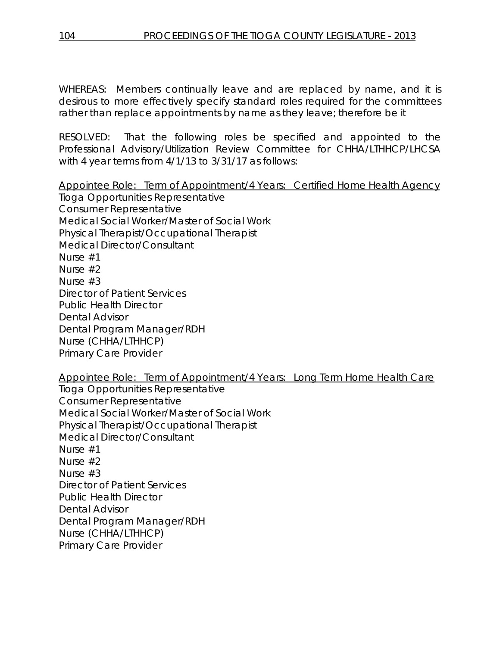WHEREAS: Members continually leave and are replaced by name, and it is desirous to more effectively specify standard roles required for the committees rather than replace appointments by name as they leave; therefore be it

RESOLVED: That the following roles be specified and appointed to the Professional Advisory/Utilization Review Committee for CHHA/LTHHCP/LHCSA with 4 year terms from 4/1/13 to 3/31/17 as follows:

Appointee Role: Term of Appointment/4 Years: Certified Home Health Agency Tioga Opportunities Representative Consumer Representative Medical Social Worker/Master of Social Work Physical Therapist/Occupational Therapist Medical Director/Consultant Nurse #1 Nurse #2 Nurse #3 Director of Patient Services Public Health Director Dental Advisor Dental Program Manager/RDH Nurse (CHHA/LTHHCP) Primary Care Provider

Appointee Role: Term of Appointment/4 Years: Long Term Home Health Care Tioga Opportunities Representative Consumer Representative Medical Social Worker/Master of Social Work Physical Therapist/Occupational Therapist Medical Director/Consultant Nurse #1 Nurse #2 Nurse #3 Director of Patient Services Public Health Director Dental Advisor Dental Program Manager/RDH Nurse (CHHA/LTHHCP) Primary Care Provider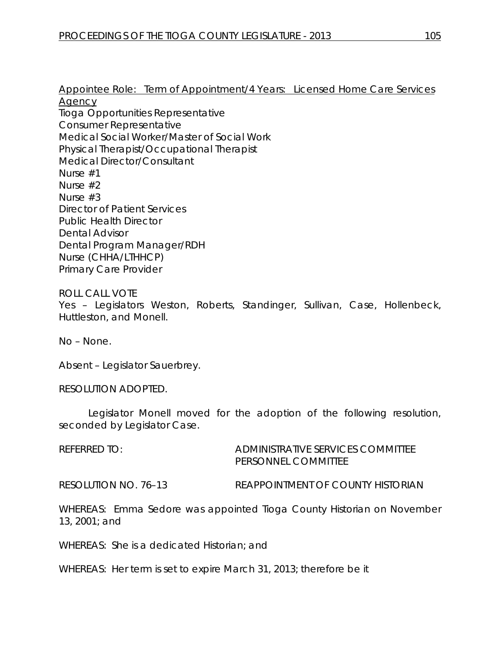Appointee Role: Term of Appointment/4 Years: Licensed Home Care Services Agency Tioga Opportunities Representative Consumer Representative Medical Social Worker/Master of Social Work Physical Therapist/Occupational Therapist Medical Director/Consultant Nurse #1 Nurse #2 Nurse #3 Director of Patient Services Public Health Director Dental Advisor Dental Program Manager/RDH Nurse (CHHA/LTHHCP) Primary Care Provider

#### ROLL CALL VOTE Yes - Legislators Weston, Roberts, Standinger, Sullivan, Case, Hollenbeck, Huttleston, and Monell.

No – None.

Absent – Legislator Sauerbrey.

RESOLUTION ADOPTED.

Legislator Monell moved for the adoption of the following resolution, seconded by Legislator Case.

REFERRED TO: ADMINISTRATIVE SERVICES COMMITTEE PERSONNEL COMMITTEE

RESOLUTION NO. 76–13 *REAPPOINTMENT OF COUNTY HISTORIAN*

WHEREAS: Emma Sedore was appointed Tioga County Historian on November 13, 2001; and

WHEREAS: She is a dedicated Historian; and

WHEREAS: Her term is set to expire March 31, 2013; therefore be it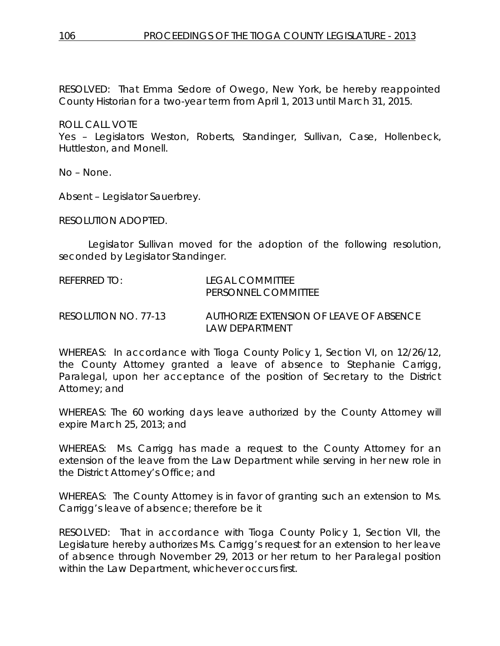RESOLVED: That Emma Sedore of Owego, New York, be hereby reappointed County Historian for a two-year term from April 1, 2013 until March 31, 2015.

ROLL CALL VOTE

Yes – Legislators Weston, Roberts, Standinger, Sullivan, Case, Hollenbeck, Huttleston, and Monell.

No – None.

Absent – Legislator Sauerbrey.

RESOLUTION ADOPTED.

Legislator Sullivan moved for the adoption of the following resolution, seconded by Legislator Standinger.

| REFERRED TO:         | LEGAL COMMITTEE<br>PERSONNEL COMMITTEE                     |
|----------------------|------------------------------------------------------------|
| RESOLUTION NO. 77-13 | AUTHORIZE EXTENSION OF LEAVE OF ABSENCE<br>I AW DFPARTMENT |

WHEREAS: In accordance with Tioga County Policy 1, Section VI, on 12/26/12, the County Attorney granted a leave of absence to Stephanie Carrigg, Paralegal, upon her acceptance of the position of Secretary to the District Attorney; and

WHEREAS: The 60 working days leave authorized by the County Attorney will expire March 25, 2013; and

WHEREAS: Ms. Carrigg has made a request to the County Attorney for an extension of the leave from the Law Department while serving in her new role in the District Attorney's Office; and

WHEREAS: The County Attorney is in favor of granting such an extension to Ms. Carrigg's leave of absence; therefore be it

RESOLVED: That in accordance with Tioga County Policy 1, Section VII, the Legislature hereby authorizes Ms. Carrigg's request for an extension to her leave of absence through November 29, 2013 or her return to her Paralegal position within the Law Department, whichever occurs first.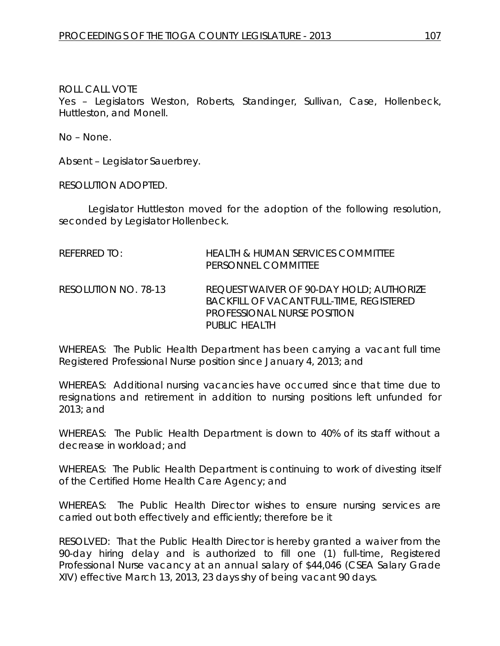Yes – Legislators Weston, Roberts, Standinger, Sullivan, Case, Hollenbeck, Huttleston, and Monell.

No – None.

Absent – Legislator Sauerbrey.

RESOLUTION ADOPTED.

Legislator Huttleston moved for the adoption of the following resolution, seconded by Legislator Hollenbeck.

| REFERRED TO:         | <b>HEALTH &amp; HUMAN SERVICES COMMITTEE</b><br>PERSONNEL COMMITTEE                                                                                              |
|----------------------|------------------------------------------------------------------------------------------------------------------------------------------------------------------|
| RESOLUTION NO. 78-13 | <b>REQUEST WAIVER OF 90-DAY HOLD; AUTHORIZE</b><br><b>BACKFILL OF VACANT FULL-TIME, REGISTERED</b><br><b>PROFESSIONAL NURSE POSITION</b><br><b>PUBLIC HEALTH</b> |

WHEREAS: The Public Health Department has been carrying a vacant full time Registered Professional Nurse position since January 4, 2013; and

WHEREAS: Additional nursing vacancies have occurred since that time due to resignations and retirement in addition to nursing positions left unfunded for 2013; and

WHEREAS: The Public Health Department is down to 40% of its staff without a decrease in workload; and

WHEREAS: The Public Health Department is continuing to work of divesting itself of the Certified Home Health Care Agency; and

WHEREAS: The Public Health Director wishes to ensure nursing services are carried out both effectively and efficiently; therefore be it

RESOLVED: That the Public Health Director is hereby granted a waiver from the 90-day hiring delay and is authorized to fill one (1) full-time, Registered Professional Nurse vacancy at an annual salary of \$44,046 (CSEA Salary Grade XIV) effective March 13, 2013, 23 days shy of being vacant 90 days.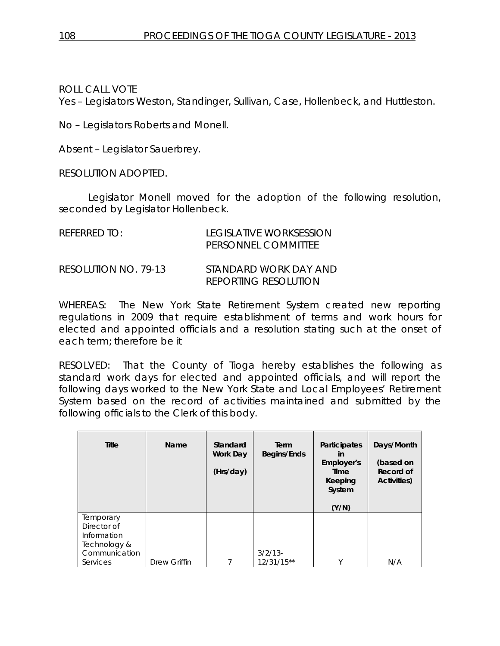Yes – Legislators Weston, Standinger, Sullivan, Case, Hollenbeck, and Huttleston.

No – Legislators Roberts and Monell.

Absent – Legislator Sauerbrey.

RESOLUTION ADOPTED.

Legislator Monell moved for the adoption of the following resolution, seconded by Legislator Hollenbeck.

| REFERRED TO:         | LEGISLATIVE WORKSESSION<br>PERSONNEL COMMITTEE       |
|----------------------|------------------------------------------------------|
| RESOLUTION NO. 79-13 | STANDARD WORK DAY AND<br><b>REPORTING RESOLUTION</b> |

WHEREAS: The New York State Retirement System created new reporting regulations in 2009 that require establishment of terms and work hours for elected and appointed officials and a resolution stating such at the onset of each term; therefore be it

RESOLVED: That the County of Tioga hereby establishes the following as standard work days for elected and appointed officials, and will report the following days worked to the New York State and Local Employees' Retirement System based on the record of activities maintained and submitted by the following officials to the Clerk of this body.

| <b>Title</b>                                                             | Name         | Standard<br>Work Day<br>(Hrs/day) | Term<br><b>Begins/Ends</b> | Participates<br>in<br>Employer's<br>Time<br>Keeping<br>System<br>(Y/N) | Days/Month<br>(based on<br>Record of<br><b>Activities)</b> |
|--------------------------------------------------------------------------|--------------|-----------------------------------|----------------------------|------------------------------------------------------------------------|------------------------------------------------------------|
| Temporary<br>Director of<br>Information<br>Technology &<br>Communication |              |                                   | $3/2/13$ -                 |                                                                        |                                                            |
| Services                                                                 | Drew Griffin |                                   | $12/31/15**$               | $\vee$                                                                 | N/A                                                        |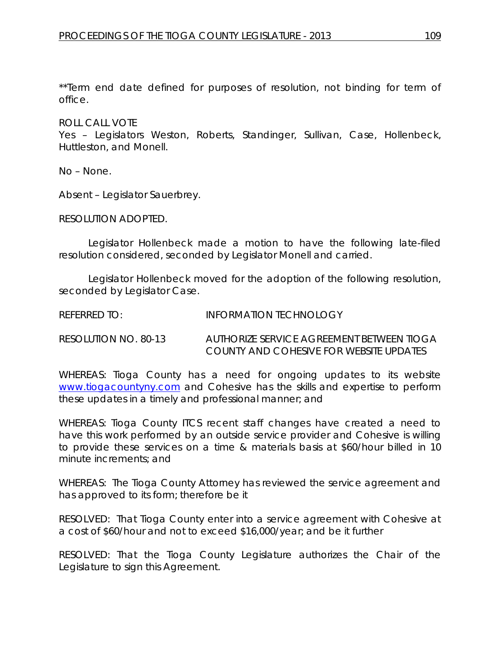\*\*Term end date defined for purposes of resolution, not binding for term of office.

ROLL CALL VOTE

Yes – Legislators Weston, Roberts, Standinger, Sullivan, Case, Hollenbeck, Huttleston, and Monell.

No – None.

Absent – Legislator Sauerbrey.

RESOLUTION ADOPTED.

Legislator Hollenbeck made a motion to have the following late-filed resolution considered, seconded by Legislator Monell and carried.

Legislator Hollenbeck moved for the adoption of the following resolution, seconded by Legislator Case.

REFERRED TO: **INFORMATION TECHNOLOGY** 

RESOLUTION NO. 80-13 *AUTHORIZE SERVICE AGREEMENT BETWEEN TIOGA COUNTY AND COHESIVE FOR WEBSITE UPDATES*

WHEREAS: Tioga County has a need for ongoing updates to its website [www.tiogacountyny.com](http://www.tiogacountyny.com/) and Cohesive has the skills and expertise to perform these updates in a timely and professional manner; and

WHEREAS: Tioga County ITCS recent staff changes have created a need to have this work performed by an outside service provider and Cohesive is willing to provide these services on a time & materials basis at \$60/hour billed in 10 minute increments; and

WHEREAS: The Tioga County Attorney has reviewed the service agreement and has approved to its form; therefore be it

RESOLVED: That Tioga County enter into a service agreement with Cohesive at a cost of \$60/hour and not to exceed \$16,000/year; and be it further

RESOLVED: That the Tioga County Legislature authorizes the Chair of the Legislature to sign this Agreement.